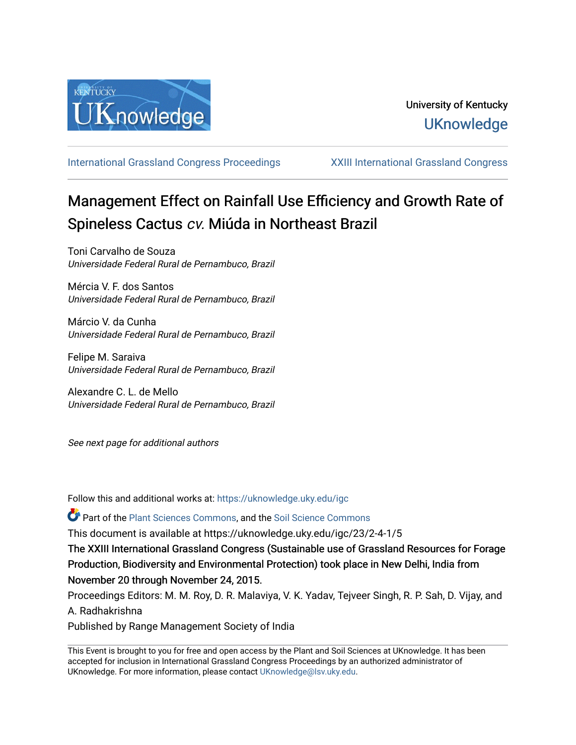

[International Grassland Congress Proceedings](https://uknowledge.uky.edu/igc) [XXIII International Grassland Congress](https://uknowledge.uky.edu/igc/23) 

# Management Effect on Rainfall Use Efficiency and Growth Rate of Spineless Cactus cv. Miúda in Northeast Brazil

Toni Carvalho de Souza Universidade Federal Rural de Pernambuco, Brazil

Mércia V. F. dos Santos Universidade Federal Rural de Pernambuco, Brazil

Márcio V. da Cunha Universidade Federal Rural de Pernambuco, Brazil

Felipe M. Saraiva Universidade Federal Rural de Pernambuco, Brazil

Alexandre C. L. de Mello Universidade Federal Rural de Pernambuco, Brazil

See next page for additional authors

Follow this and additional works at: [https://uknowledge.uky.edu/igc](https://uknowledge.uky.edu/igc?utm_source=uknowledge.uky.edu%2Figc%2F23%2F2-4-1%2F5&utm_medium=PDF&utm_campaign=PDFCoverPages) 

Part of the [Plant Sciences Commons](http://network.bepress.com/hgg/discipline/102?utm_source=uknowledge.uky.edu%2Figc%2F23%2F2-4-1%2F5&utm_medium=PDF&utm_campaign=PDFCoverPages), and the [Soil Science Commons](http://network.bepress.com/hgg/discipline/163?utm_source=uknowledge.uky.edu%2Figc%2F23%2F2-4-1%2F5&utm_medium=PDF&utm_campaign=PDFCoverPages) 

This document is available at https://uknowledge.uky.edu/igc/23/2-4-1/5

The XXIII International Grassland Congress (Sustainable use of Grassland Resources for Forage Production, Biodiversity and Environmental Protection) took place in New Delhi, India from November 20 through November 24, 2015.

Proceedings Editors: M. M. Roy, D. R. Malaviya, V. K. Yadav, Tejveer Singh, R. P. Sah, D. Vijay, and A. Radhakrishna

Published by Range Management Society of India

This Event is brought to you for free and open access by the Plant and Soil Sciences at UKnowledge. It has been accepted for inclusion in International Grassland Congress Proceedings by an authorized administrator of UKnowledge. For more information, please contact [UKnowledge@lsv.uky.edu](mailto:UKnowledge@lsv.uky.edu).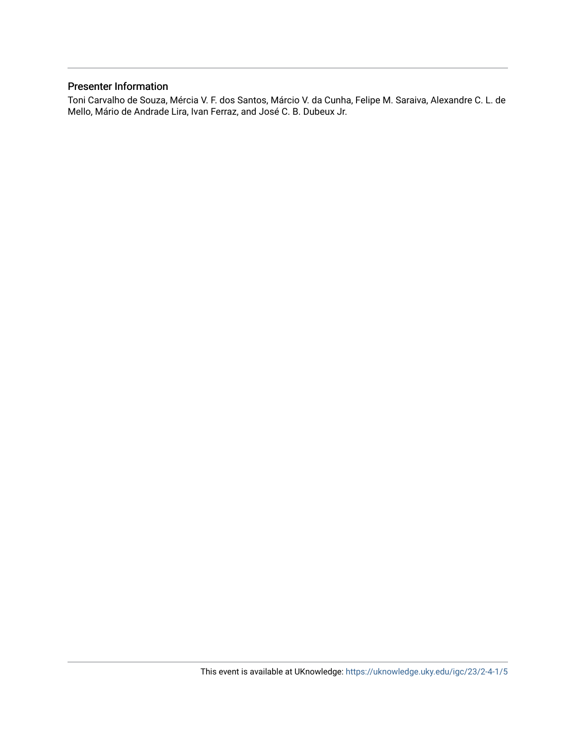# Presenter Information

Toni Carvalho de Souza, Mércia V. F. dos Santos, Márcio V. da Cunha, Felipe M. Saraiva, Alexandre C. L. de Mello, Mário de Andrade Lira, Ivan Ferraz, and José C. B. Dubeux Jr.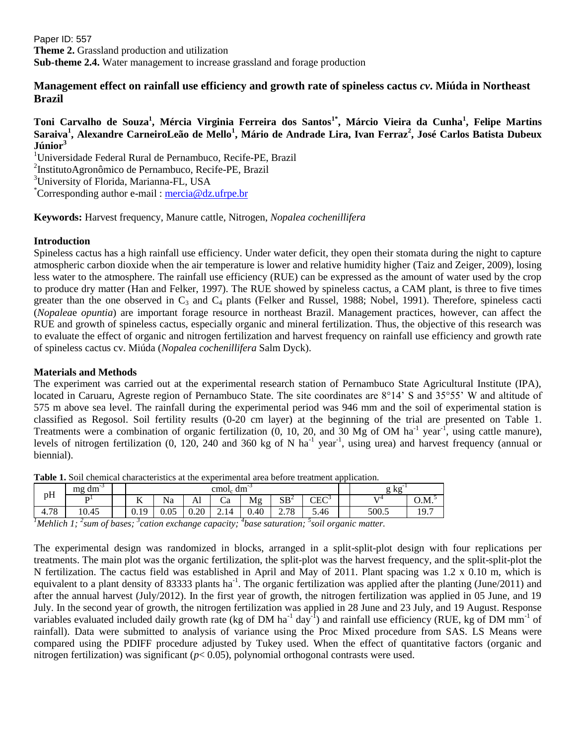Paper ID: 557 **Theme 2.** Grassland production and utilization **Sub-theme 2.4.** Water management to increase grassland and forage production

# **Management effect on rainfall use efficiency and growth rate of spineless cactus** *cv***. Miúda in Northeast Brazil**

# **Toni Carvalho de Souza<sup>1</sup> , Mércia Virginia Ferreira dos Santos1\*, Márcio Vieira da Cunha<sup>1</sup> , Felipe Martins Saraiva<sup>1</sup> , Alexandre CarneiroLeão de Mello<sup>1</sup> , Mário de Andrade Lira, Ivan Ferraz<sup>2</sup> , José Carlos Batista Dubeux Júnior<sup>3</sup>**

<sup>1</sup>Universidade Federal Rural de Pernambuco, Recife-PE, Brazil

<sup>2</sup>InstitutoAgronômico de Pernambuco, Recife-PE, Brazil

<sup>3</sup>University of Florida, Marianna-FL, USA

\*Corresponding author e-mail : [mercia@dz.ufrpe.br](mailto:mercia@dz.ufrpe.br)

**Keywords:** Harvest frequency, Manure cattle, Nitrogen, *Nopalea cochenillifera*

### **Introduction**

Spineless cactus has a high rainfall use efficiency. Under water deficit, they open their stomata during the night to capture atmospheric carbon dioxide when the air temperature is lower and relative humidity higher (Taiz and Zeiger, 2009), losing less water to the atmosphere. The rainfall use efficiency (RUE) can be expressed as the amount of water used by the crop to produce dry matter (Han and Felker, 1997). The RUE showed by spineless cactus, a CAM plant, is three to five times greater than the one observed in  $C_3$  and  $C_4$  plants (Felker and Russel, 1988; Nobel, 1991). Therefore, spineless cacti (*Nopalea*e *opuntia*) are important forage resource in northeast Brazil. Management practices, however, can affect the RUE and growth of spineless cactus, especially organic and mineral fertilization. Thus, the objective of this research was to evaluate the effect of organic and nitrogen fertilization and harvest frequency on rainfall use efficiency and growth rate of spineless cactus cv. Miúda (*Nopalea cochenillifera* Salm Dyck).

#### **Materials and Methods**

The experiment was carried out at the experimental research station of Pernambuco State Agricultural Institute (IPA), located in Caruaru, Agreste region of Pernambuco State. The site coordinates are 8°14' S and 35°55' W and altitude of 575 m above sea level. The rainfall during the experimental period was 946 mm and the soil of experimental station is classified as Regosol. Soil fertility results (0-20 cm layer) at the beginning of the trial are presented on Table 1. Treatments were a combination of organic fertilization  $(0, 10, 20,$  and  $30$  Mg of OM ha<sup>-1</sup> year<sup>-1</sup>, using cattle manure), levels of nitrogen fertilization  $(0, 120, 240, 400, 360, 400, 100, 100)$  levels and harvest frequency (annual or biennial).

| pH   | . .<br>dm<br>mg | $\text{cmol}_c \text{ dm}^{-3}$ |      |      |         |      |                      |               | , kg  |              |
|------|-----------------|---------------------------------|------|------|---------|------|----------------------|---------------|-------|--------------|
|      | n.              | --<br>T7                        | Na   | Al   | ~<br>Ċа | Mg   | $SB^2$               | ${\rm CEC}^3$ | T/T   | O.M.         |
| 4.78 | 10.45           | 0.19                            | 0.05 | 0.20 | 2.14    | 0.40 | .78<br>$\sim$<br>، ۱ | 5.46          | 500.5 | 10 7<br>17.I |

**Table 1.** Soil chemical characteristics at the experimental area before treatment application.

*<sup>1</sup>Mehlich 1; <sup>2</sup> sum of bases; <sup>3</sup> cation exchange capacity; <sup>4</sup> base saturation; <sup>5</sup> soil organic matter.*

The experimental design was randomized in blocks, arranged in a split-split-plot design with four replications per treatments. The main plot was the organic fertilization, the split-plot was the harvest frequency, and the split-split-plot the N fertilization. The cactus field was established in April and May of 2011. Plant spacing was 1.2 x 0.10 m, which is equivalent to a plant density of 83333 plants ha<sup>-1</sup>. The organic fertilization was applied after the planting (June/2011) and after the annual harvest (July/2012). In the first year of growth, the nitrogen fertilization was applied in 05 June, and 19 July. In the second year of growth, the nitrogen fertilization was applied in 28 June and 23 July, and 19 August. Response variables evaluated included daily growth rate (kg of DM ha<sup>-1</sup> day<sup>-1</sup>) and rainfall use efficiency (RUE, kg of DM mm<sup>-1</sup> of rainfall). Data were submitted to analysis of variance using the Proc Mixed procedure from SAS. LS Means were compared using the PDIFF procedure adjusted by Tukey used. When the effect of quantitative factors (organic and nitrogen fertilization) was significant (*p*< 0.05), polynomial orthogonal contrasts were used.